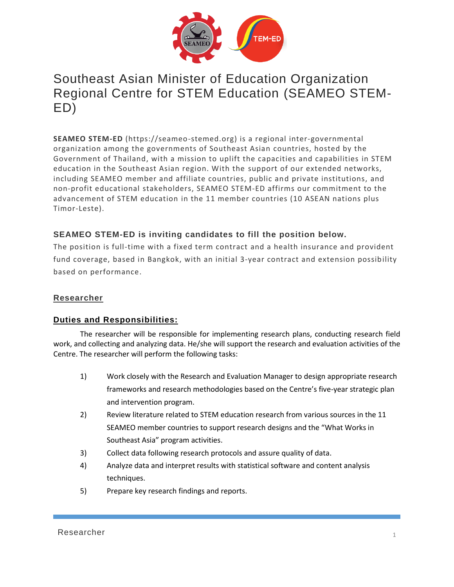

# Southeast Asian Minister of Education Organization Regional Centre for STEM Education (SEAMEO STEM-ED)

**SEAMEO STEM-ED** (https://seameo-stemed.org) is a regional inter-governmental organization among the governments of Southeast Asian countries, hosted by the Government of Thailand, with a mission to uplift the capacities and capabilities in STEM education in the Southeast Asian region. With the support of our extended networks, including SEAMEO member and affiliate countries, public and private institutions, and non-profit educational stakeholders, SEAMEO STEM-ED affirms our commitment to the advancement of STEM education in the 11 member countries (10 ASEAN nations plus Timor-Leste).

## **SEAMEO STEM-ED is inviting candidates to fill the position below.**

The position is full-time with a fixed term contract and a health insurance and provident fund coverage, based in Bangkok, with an initial 3-year contract and extension possibility based on performance.

## **Researcher**

## **Duties and Responsibilities:**

The researcher will be responsible for implementing research plans, conducting research field work, and collecting and analyzing data. He/she will support the research and evaluation activities of the Centre. The researcher will perform the following tasks:

- 1) Work closely with the Research and Evaluation Manager to design appropriate research frameworks and research methodologies based on the Centre's five-year strategic plan and intervention program.
- 2) Review literature related to STEM education research from various sources in the 11 SEAMEO member countries to support research designs and the "What Works in Southeast Asia" program activities.
- 3) Collect data following research protocols and assure quality of data.
- 4) Analyze data and interpret results with statistical software and content analysis techniques.
- 5) Prepare key research findings and reports.